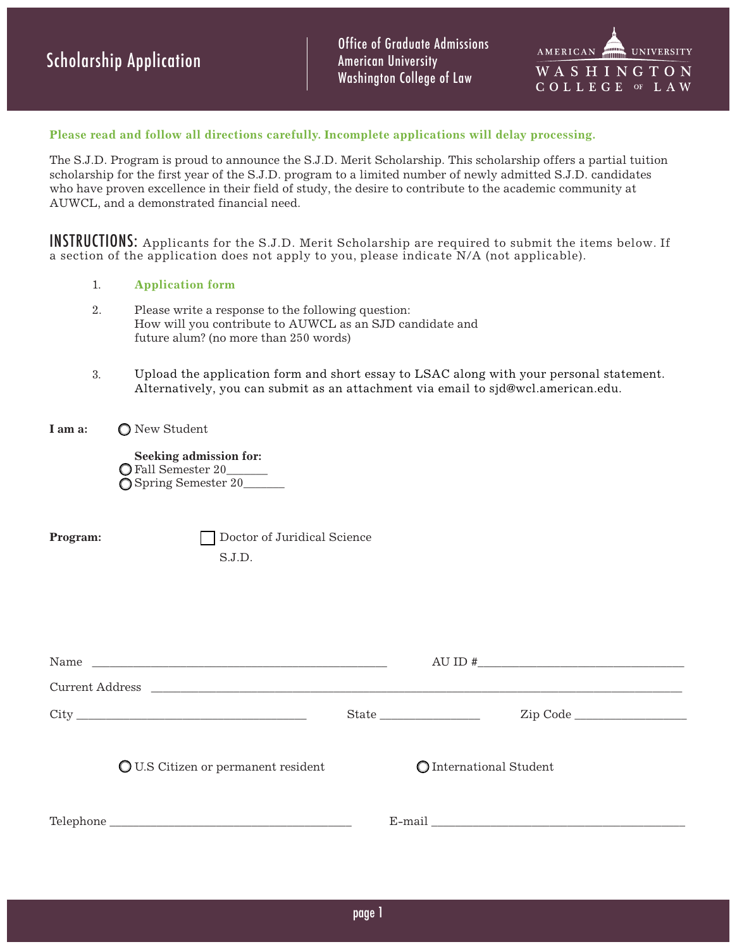Office of Graduate Admissions American University Washington College of Law



#### **Please read and follow all directions carefully. Incomplete applications will delay processing.**

The S.J.D. Program is proud to announce the S.J.D. Merit Scholarship. This scholarship offers a partial tuition scholarship for the first year of the S.J.D. program to a limited number of newly admitted S.J.D. candidates who have proven excellence in their field of study, the desire to contribute to the academic community at AUWCL, and a demonstrated financial need.

INSTRUCTIONS: Applicants for the S.J.D. Merit Scholarship are required to submit the items below. If a section of the application does not apply to you, please indicate N/A (not applicable).

- 1. **Application form**
- 2. Please write a response to the following question: How will you contribute to AUWCL as an SJD candidate and future alum? (no more than 250 words)
- 3. Upload the application form and short essay to LSAC along with your personal statement. Alternatively, you can submit as an attachment via email to sjd@wcl.american.edu.
- **I am a:** O New Student

**Seeking admission for:** Fall Semester 20\_\_\_\_\_\_\_ Spring Semester 20\_\_\_\_\_\_\_

**Program:** <u>Doctor</u> of Juridical Science S.J.D.

| Current Address                            |                         |  |
|--------------------------------------------|-------------------------|--|
|                                            |                         |  |
| <b>Q</b> U.S Citizen or permanent resident | O International Student |  |
|                                            |                         |  |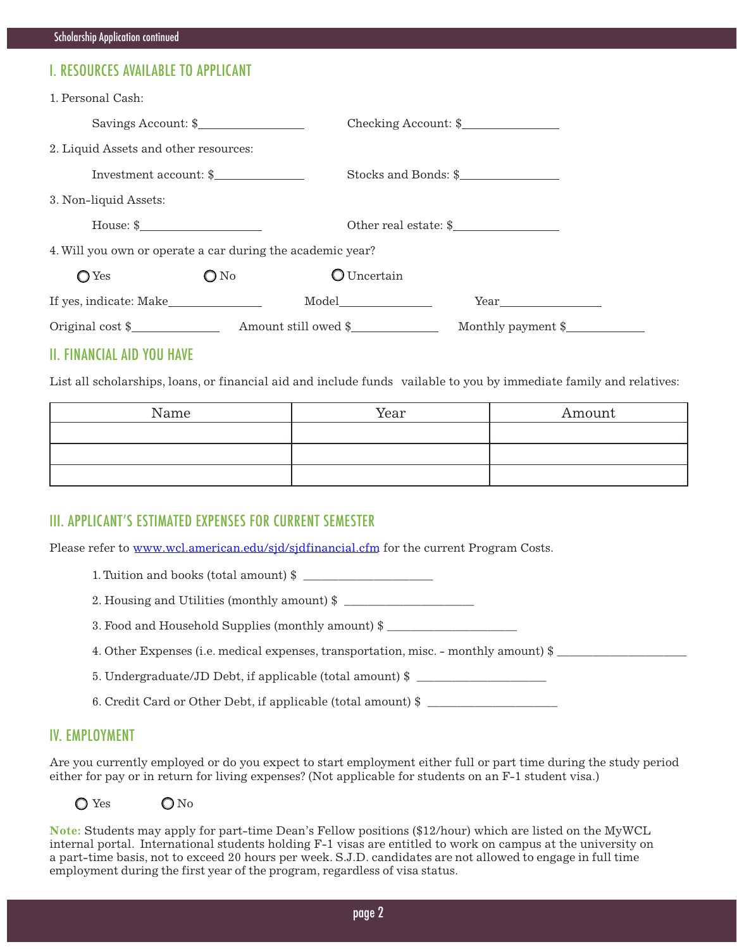# I. RESOURCES AVAILABLE TO APPLICANT

| 1. Personal Cash:                                                                                                                                                                                                                                                                                                     |               |           |                       |  |
|-----------------------------------------------------------------------------------------------------------------------------------------------------------------------------------------------------------------------------------------------------------------------------------------------------------------------|---------------|-----------|-----------------------|--|
| Savings Account: \$                                                                                                                                                                                                                                                                                                   |               |           | Checking Account: \$  |  |
| 2. Liquid Assets and other resources:                                                                                                                                                                                                                                                                                 |               |           |                       |  |
| Investment account: \$                                                                                                                                                                                                                                                                                                |               |           | Stocks and Bonds: \$  |  |
| 3. Non-liquid Assets:                                                                                                                                                                                                                                                                                                 |               |           |                       |  |
| House: $\frac{1}{2}$ $\frac{1}{2}$ $\frac{1}{2}$ $\frac{1}{2}$ $\frac{1}{2}$ $\frac{1}{2}$ $\frac{1}{2}$ $\frac{1}{2}$ $\frac{1}{2}$ $\frac{1}{2}$ $\frac{1}{2}$ $\frac{1}{2}$ $\frac{1}{2}$ $\frac{1}{2}$ $\frac{1}{2}$ $\frac{1}{2}$ $\frac{1}{2}$ $\frac{1}{2}$ $\frac{1}{2}$ $\frac{1}{2}$ $\frac{1}{2}$ $\frac{$ |               |           | Other real estate: \$ |  |
| 4. Will you own or operate a car during the academic year?                                                                                                                                                                                                                                                            |               |           |                       |  |
| $\bigcirc$ Yes                                                                                                                                                                                                                                                                                                        | $\bigcirc$ No | Uncertain |                       |  |
|                                                                                                                                                                                                                                                                                                                       |               |           |                       |  |
|                                                                                                                                                                                                                                                                                                                       |               |           | Monthly payment \$    |  |

### II. FINANCIAL AID YOU HAVE

List all scholarships, loans, or financial aid and include funds vailable to you by immediate family and relatives:

| Name | Year | Amount |
|------|------|--------|
|      |      |        |
|      |      |        |
|      |      |        |

### III. APPLICANT'S ESTIMATED EXPENSES FOR CURRENT SEMESTER

Please refer to www.wcl.american.edu/sjd/sjdfinancial.cfm for the current Program Costs.

1. Tuition and books (total amount) \$

2. Housing and Utilities (monthly amount) \$

3. Food and Household Supplies (monthly amount) \$

4. Other Expenses (i.e. medical expenses, transportation, misc. - monthly amount) \$

5. Undergraduate/JD Debt, if applicable (total amount) \$

6. Credit Card or Other Debt, if applicable (total amount) \$ \_\_\_\_\_\_\_\_\_\_\_\_\_\_\_\_\_\_\_\_\_\_

### IV. EMPLOYMENT

Are you currently employed or do you expect to start employment either full or part time during the study period either for pay or in return for living expenses? (Not applicable for students on an F-1 student visa.)

 $\bigcirc$  Yes  $\bigcirc$  No

**Note:** Students may apply for part-time Dean's Fellow positions (\$12/hour) which are listed on the MyWCL internal portal. International students holding F-1 visas are entitled to work on campus at the university on a part-time basis, not to exceed 20 hours per week. S.J.D. candidates are not allowed to engage in full time employment during the first year of the program, regardless of visa status.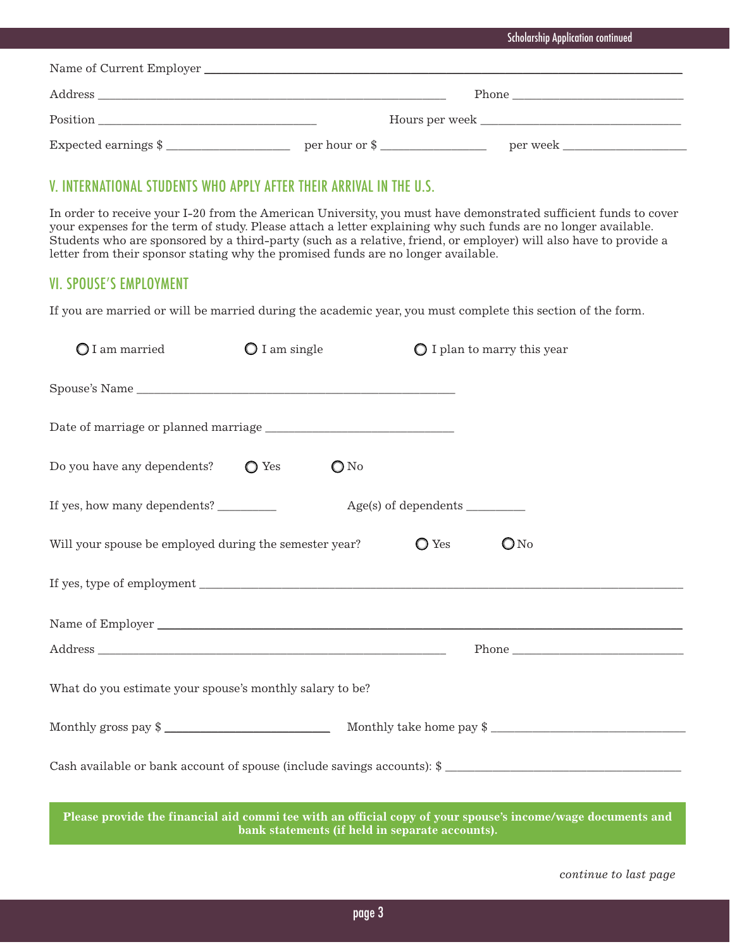|                      | <b>Scholarship Application continued</b> |  |
|----------------------|------------------------------------------|--|
|                      |                                          |  |
|                      | Phone                                    |  |
|                      |                                          |  |
| Expected earnings \$ |                                          |  |

## V. INTERNATIONAL STUDENTS WHO APPLY AFTER THEIR ARRIVAL IN THE U.S.

In order to receive your I-20 from the American University, you must have demonstrated sufficient funds to cover your expenses for the term of study. Please attach a letter explaining why such funds are no longer available. Students who are sponsored by a third-party (such as a relative, friend, or employer) will also have to provide a letter from their sponsor stating why the promised funds are no longer available.

## VI. SPOUSE'S EMPLOYMENT

If you are married or will be married during the academic year, you must complete this section of the form.

| $\bigcirc$ I am married                                                                                                                                        | $\bigcirc$ I am single |                | $\bigcirc$ I plan to marry this year                                                    |
|----------------------------------------------------------------------------------------------------------------------------------------------------------------|------------------------|----------------|-----------------------------------------------------------------------------------------|
|                                                                                                                                                                |                        |                |                                                                                         |
|                                                                                                                                                                |                        |                |                                                                                         |
| Do you have any dependents? $\bigcirc$ Yes                                                                                                                     |                        | $\bigcirc$ No  |                                                                                         |
| If yes, how many dependents?                                                                                                                                   |                        |                |                                                                                         |
| Will your spouse be employed during the semester year?                                                                                                         |                        | $\bigcirc$ Yes | $\mathbb{O}N^0$                                                                         |
|                                                                                                                                                                |                        |                |                                                                                         |
|                                                                                                                                                                |                        |                |                                                                                         |
|                                                                                                                                                                |                        |                |                                                                                         |
| What do you estimate your spouse's monthly salary to be?                                                                                                       |                        |                |                                                                                         |
|                                                                                                                                                                |                        |                | Monthly gross pay $\frac{1}{2}$<br>$\frac{1}{2}$<br>Monthly take home pay $\frac{1}{2}$ |
| Cash available or bank account of spouse (include savings accounts): \$                                                                                        |                        |                |                                                                                         |
| Please provide the financial aid commi tee with an official copy of your spouse's income/wage documents and<br>bank statements (if held in separate accounts). |                        |                |                                                                                         |